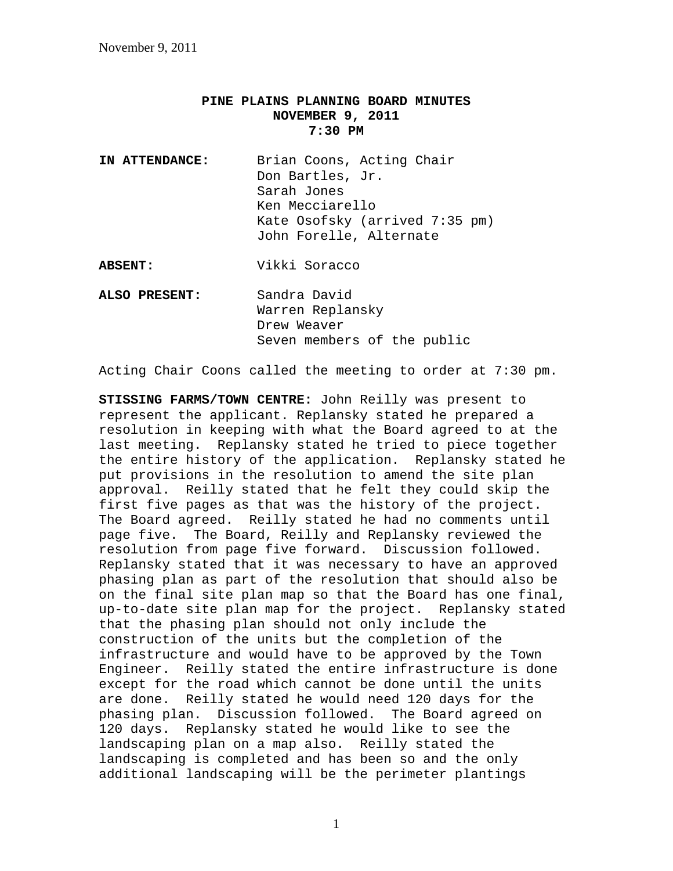## **PINE PLAINS PLANNING BOARD MINUTES NOVEMBER 9, 2011 7:30 PM**

**IN ATTENDANCE:** Brian Coons, Acting Chair Don Bartles, Jr. Sarah Jones Ken Mecciarello Kate Osofsky (arrived 7:35 pm) John Forelle, Alternate

**ABSENT:** Vikki Soracco

**ALSO PRESENT:** Sandra David Warren Replansky Drew Weaver Seven members of the public

Acting Chair Coons called the meeting to order at 7:30 pm.

**STISSING FARMS/TOWN CENTRE:** John Reilly was present to represent the applicant. Replansky stated he prepared a resolution in keeping with what the Board agreed to at the last meeting. Replansky stated he tried to piece together the entire history of the application. Replansky stated he put provisions in the resolution to amend the site plan approval. Reilly stated that he felt they could skip the first five pages as that was the history of the project. The Board agreed. Reilly stated he had no comments until page five. The Board, Reilly and Replansky reviewed the resolution from page five forward. Discussion followed. Replansky stated that it was necessary to have an approved phasing plan as part of the resolution that should also be on the final site plan map so that the Board has one final, up-to-date site plan map for the project. Replansky stated that the phasing plan should not only include the construction of the units but the completion of the infrastructure and would have to be approved by the Town Engineer. Reilly stated the entire infrastructure is done except for the road which cannot be done until the units are done. Reilly stated he would need 120 days for the phasing plan. Discussion followed. The Board agreed on 120 days. Replansky stated he would like to see the landscaping plan on a map also. Reilly stated the landscaping is completed and has been so and the only additional landscaping will be the perimeter plantings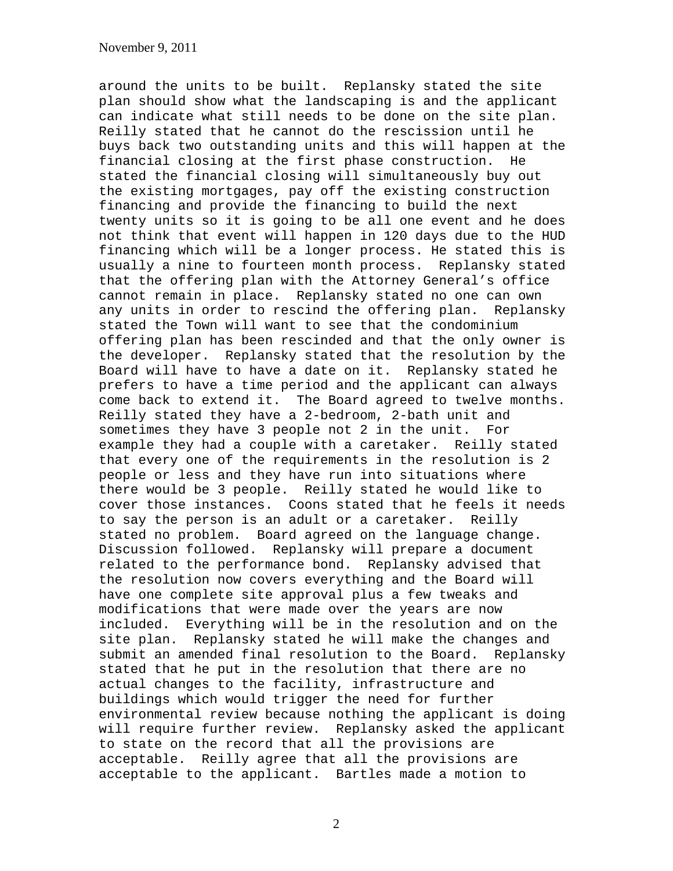around the units to be built. Replansky stated the site plan should show what the landscaping is and the applicant can indicate what still needs to be done on the site plan. Reilly stated that he cannot do the rescission until he buys back two outstanding units and this will happen at the financial closing at the first phase construction. He stated the financial closing will simultaneously buy out the existing mortgages, pay off the existing construction financing and provide the financing to build the next twenty units so it is going to be all one event and he does not think that event will happen in 120 days due to the HUD financing which will be a longer process. He stated this is usually a nine to fourteen month process. Replansky stated that the offering plan with the Attorney General's office cannot remain in place. Replansky stated no one can own any units in order to rescind the offering plan. Replansky stated the Town will want to see that the condominium offering plan has been rescinded and that the only owner is the developer. Replansky stated that the resolution by the Board will have to have a date on it. Replansky stated he prefers to have a time period and the applicant can always come back to extend it. The Board agreed to twelve months. Reilly stated they have a 2-bedroom, 2-bath unit and sometimes they have 3 people not 2 in the unit. For example they had a couple with a caretaker. Reilly stated that every one of the requirements in the resolution is 2 people or less and they have run into situations where there would be 3 people. Reilly stated he would like to cover those instances. Coons stated that he feels it needs to say the person is an adult or a caretaker. Reilly stated no problem. Board agreed on the language change. Discussion followed. Replansky will prepare a document related to the performance bond. Replansky advised that the resolution now covers everything and the Board will have one complete site approval plus a few tweaks and modifications that were made over the years are now included. Everything will be in the resolution and on the site plan. Replansky stated he will make the changes and submit an amended final resolution to the Board. Replansky stated that he put in the resolution that there are no actual changes to the facility, infrastructure and buildings which would trigger the need for further environmental review because nothing the applicant is doing will require further review. Replansky asked the applicant to state on the record that all the provisions are acceptable. Reilly agree that all the provisions are acceptable to the applicant. Bartles made a motion to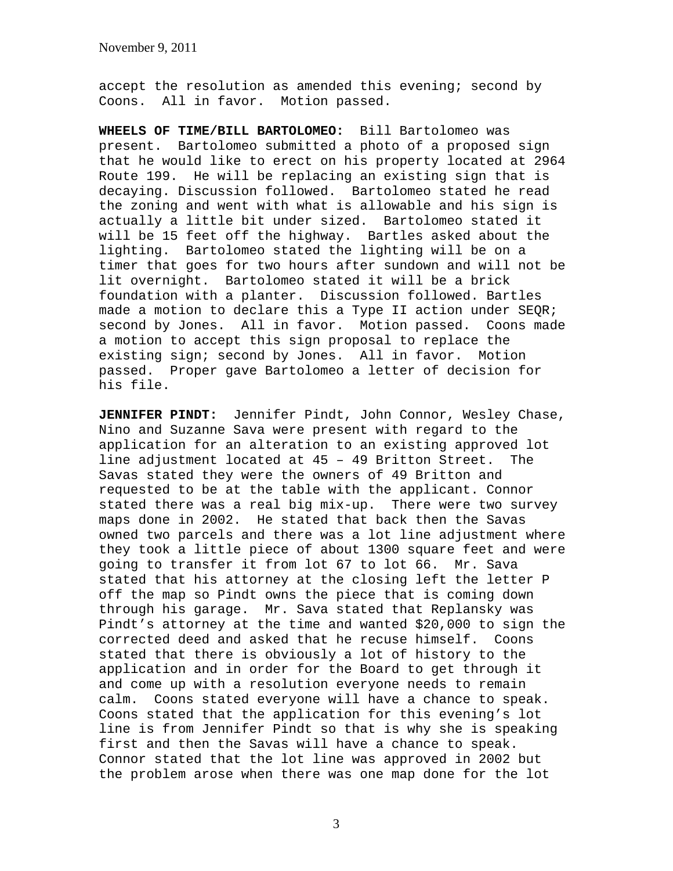accept the resolution as amended this evening; second by Coons. All in favor. Motion passed.

**WHEELS OF TIME/BILL BARTOLOMEO:** Bill Bartolomeo was present. Bartolomeo submitted a photo of a proposed sign that he would like to erect on his property located at 2964 Route 199. He will be replacing an existing sign that is decaying. Discussion followed. Bartolomeo stated he read the zoning and went with what is allowable and his sign is actually a little bit under sized. Bartolomeo stated it will be 15 feet off the highway. Bartles asked about the lighting. Bartolomeo stated the lighting will be on a timer that goes for two hours after sundown and will not be lit overnight. Bartolomeo stated it will be a brick foundation with a planter. Discussion followed. Bartles made a motion to declare this a Type II action under SEQR; second by Jones. All in favor. Motion passed. Coons made a motion to accept this sign proposal to replace the existing sign; second by Jones. All in favor. Motion passed. Proper gave Bartolomeo a letter of decision for his file.

**JENNIFER PINDT:** Jennifer Pindt, John Connor, Wesley Chase, Nino and Suzanne Sava were present with regard to the application for an alteration to an existing approved lot line adjustment located at 45 – 49 Britton Street. The Savas stated they were the owners of 49 Britton and requested to be at the table with the applicant. Connor stated there was a real big mix-up. There were two survey maps done in 2002. He stated that back then the Savas owned two parcels and there was a lot line adjustment where they took a little piece of about 1300 square feet and were going to transfer it from lot 67 to lot 66. Mr. Sava stated that his attorney at the closing left the letter P off the map so Pindt owns the piece that is coming down through his garage. Mr. Sava stated that Replansky was Pindt's attorney at the time and wanted \$20,000 to sign the corrected deed and asked that he recuse himself. Coons stated that there is obviously a lot of history to the application and in order for the Board to get through it and come up with a resolution everyone needs to remain calm. Coons stated everyone will have a chance to speak. Coons stated that the application for this evening's lot line is from Jennifer Pindt so that is why she is speaking first and then the Savas will have a chance to speak. Connor stated that the lot line was approved in 2002 but the problem arose when there was one map done for the lot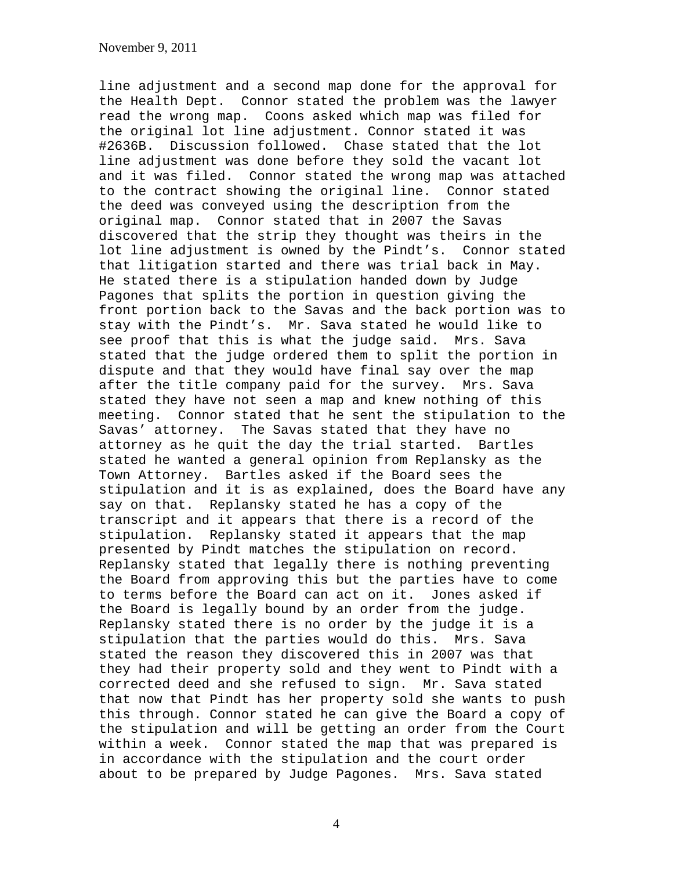line adjustment and a second map done for the approval for the Health Dept. Connor stated the problem was the lawyer read the wrong map. Coons asked which map was filed for the original lot line adjustment. Connor stated it was #2636B. Discussion followed. Chase stated that the lot line adjustment was done before they sold the vacant lot and it was filed. Connor stated the wrong map was attached to the contract showing the original line. Connor stated the deed was conveyed using the description from the original map. Connor stated that in 2007 the Savas discovered that the strip they thought was theirs in the lot line adjustment is owned by the Pindt's. Connor stated that litigation started and there was trial back in May. He stated there is a stipulation handed down by Judge Pagones that splits the portion in question giving the front portion back to the Savas and the back portion was to stay with the Pindt's. Mr. Sava stated he would like to see proof that this is what the judge said. Mrs. Sava stated that the judge ordered them to split the portion in dispute and that they would have final say over the map after the title company paid for the survey. Mrs. Sava stated they have not seen a map and knew nothing of this meeting. Connor stated that he sent the stipulation to the Savas' attorney. The Savas stated that they have no attorney as he quit the day the trial started. Bartles stated he wanted a general opinion from Replansky as the Town Attorney. Bartles asked if the Board sees the stipulation and it is as explained, does the Board have any say on that. Replansky stated he has a copy of the transcript and it appears that there is a record of the stipulation. Replansky stated it appears that the map presented by Pindt matches the stipulation on record. Replansky stated that legally there is nothing preventing the Board from approving this but the parties have to come to terms before the Board can act on it. Jones asked if the Board is legally bound by an order from the judge. Replansky stated there is no order by the judge it is a stipulation that the parties would do this. Mrs. Sava stated the reason they discovered this in 2007 was that they had their property sold and they went to Pindt with a corrected deed and she refused to sign. Mr. Sava stated that now that Pindt has her property sold she wants to push this through. Connor stated he can give the Board a copy of the stipulation and will be getting an order from the Court within a week. Connor stated the map that was prepared is in accordance with the stipulation and the court order about to be prepared by Judge Pagones. Mrs. Sava stated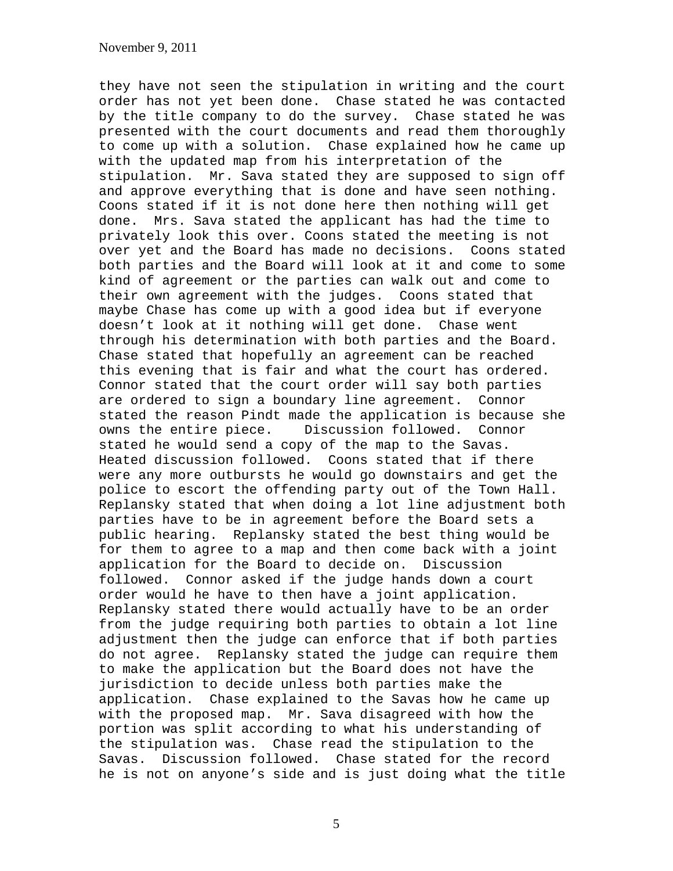they have not seen the stipulation in writing and the court order has not yet been done. Chase stated he was contacted by the title company to do the survey. Chase stated he was presented with the court documents and read them thoroughly to come up with a solution. Chase explained how he came up with the updated map from his interpretation of the stipulation. Mr. Sava stated they are supposed to sign off and approve everything that is done and have seen nothing. Coons stated if it is not done here then nothing will get done. Mrs. Sava stated the applicant has had the time to privately look this over. Coons stated the meeting is not over yet and the Board has made no decisions. Coons stated both parties and the Board will look at it and come to some kind of agreement or the parties can walk out and come to their own agreement with the judges. Coons stated that maybe Chase has come up with a good idea but if everyone doesn't look at it nothing will get done. Chase went through his determination with both parties and the Board. Chase stated that hopefully an agreement can be reached this evening that is fair and what the court has ordered. Connor stated that the court order will say both parties are ordered to sign a boundary line agreement. Connor stated the reason Pindt made the application is because she owns the entire piece. Discussion followed. Connor stated he would send a copy of the map to the Savas. Heated discussion followed. Coons stated that if there were any more outbursts he would go downstairs and get the police to escort the offending party out of the Town Hall. Replansky stated that when doing a lot line adjustment both parties have to be in agreement before the Board sets a public hearing. Replansky stated the best thing would be for them to agree to a map and then come back with a joint application for the Board to decide on. Discussion followed. Connor asked if the judge hands down a court order would he have to then have a joint application. Replansky stated there would actually have to be an order from the judge requiring both parties to obtain a lot line adjustment then the judge can enforce that if both parties do not agree. Replansky stated the judge can require them to make the application but the Board does not have the jurisdiction to decide unless both parties make the application. Chase explained to the Savas how he came up with the proposed map. Mr. Sava disagreed with how the portion was split according to what his understanding of the stipulation was. Chase read the stipulation to the Savas. Discussion followed. Chase stated for the record he is not on anyone's side and is just doing what the title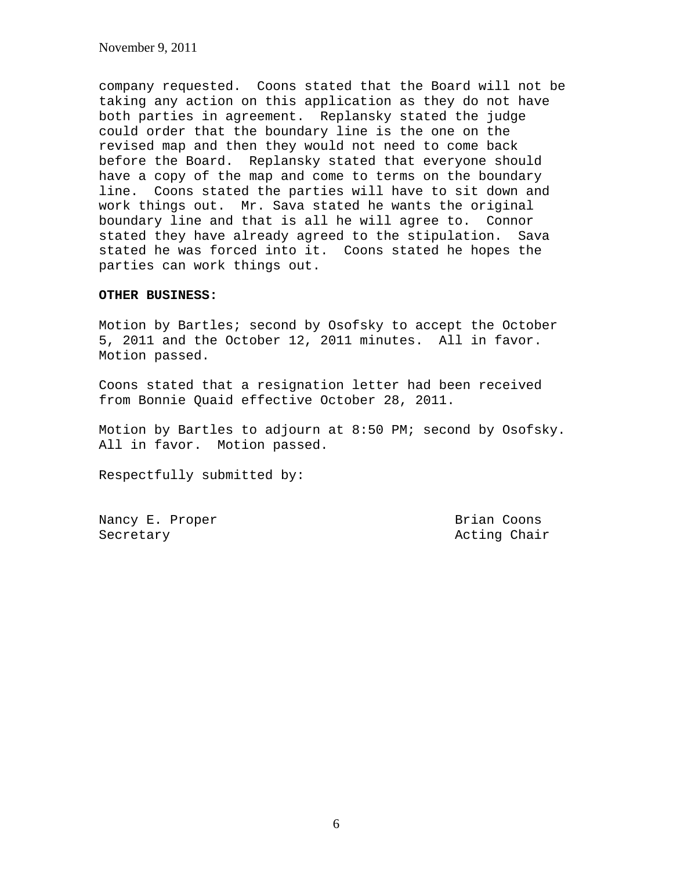November 9, 2011

company requested. Coons stated that the Board will not be taking any action on this application as they do not have both parties in agreement. Replansky stated the judge could order that the boundary line is the one on the revised map and then they would not need to come back before the Board. Replansky stated that everyone should have a copy of the map and come to terms on the boundary line. Coons stated the parties will have to sit down and work things out. Mr. Sava stated he wants the original boundary line and that is all he will agree to. Connor stated they have already agreed to the stipulation. Sava stated he was forced into it. Coons stated he hopes the parties can work things out.

## **OTHER BUSINESS:**

Motion by Bartles; second by Osofsky to accept the October 5, 2011 and the October 12, 2011 minutes. All in favor. Motion passed.

Coons stated that a resignation letter had been received from Bonnie Quaid effective October 28, 2011.

Motion by Bartles to adjourn at 8:50 PM; second by Osofsky. All in favor. Motion passed.

Respectfully submitted by:

Nancy E. Proper Brian Coons Secretary **Acting Chair Acting Chair**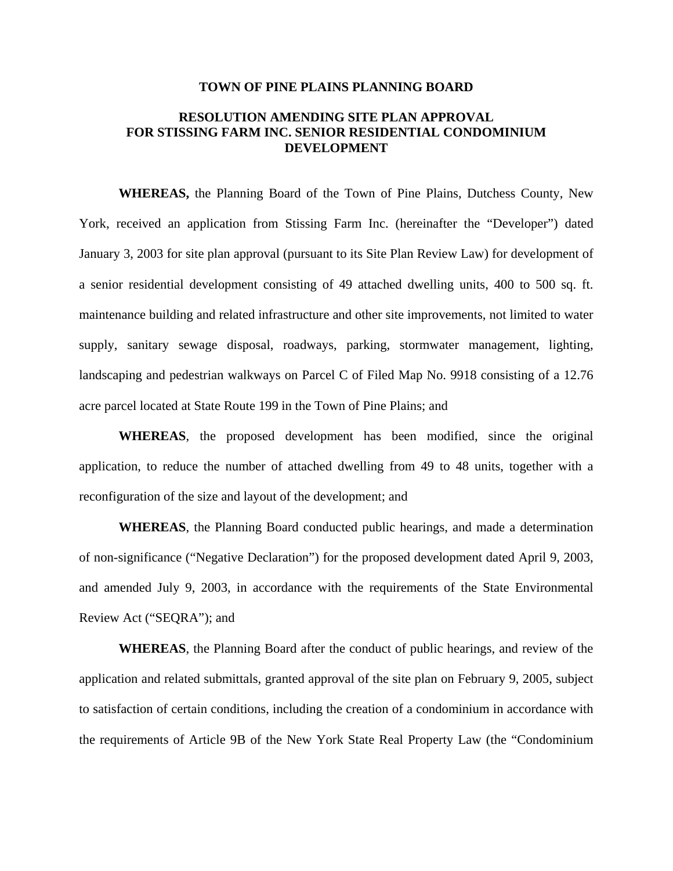## **TOWN OF PINE PLAINS PLANNING BOARD**

## **RESOLUTION AMENDING SITE PLAN APPROVAL FOR STISSING FARM INC. SENIOR RESIDENTIAL CONDOMINIUM DEVELOPMENT**

**WHEREAS,** the Planning Board of the Town of Pine Plains, Dutchess County, New York, received an application from Stissing Farm Inc. (hereinafter the "Developer") dated January 3, 2003 for site plan approval (pursuant to its Site Plan Review Law) for development of a senior residential development consisting of 49 attached dwelling units, 400 to 500 sq. ft. maintenance building and related infrastructure and other site improvements, not limited to water supply, sanitary sewage disposal, roadways, parking, stormwater management, lighting, landscaping and pedestrian walkways on Parcel C of Filed Map No. 9918 consisting of a 12.76 acre parcel located at State Route 199 in the Town of Pine Plains; and

**WHEREAS**, the proposed development has been modified, since the original application, to reduce the number of attached dwelling from 49 to 48 units, together with a reconfiguration of the size and layout of the development; and

**WHEREAS**, the Planning Board conducted public hearings, and made a determination of non-significance ("Negative Declaration") for the proposed development dated April 9, 2003, and amended July 9, 2003, in accordance with the requirements of the State Environmental Review Act ("SEQRA"); and

**WHEREAS**, the Planning Board after the conduct of public hearings, and review of the application and related submittals, granted approval of the site plan on February 9, 2005, subject to satisfaction of certain conditions, including the creation of a condominium in accordance with the requirements of Article 9B of the New York State Real Property Law (the "Condominium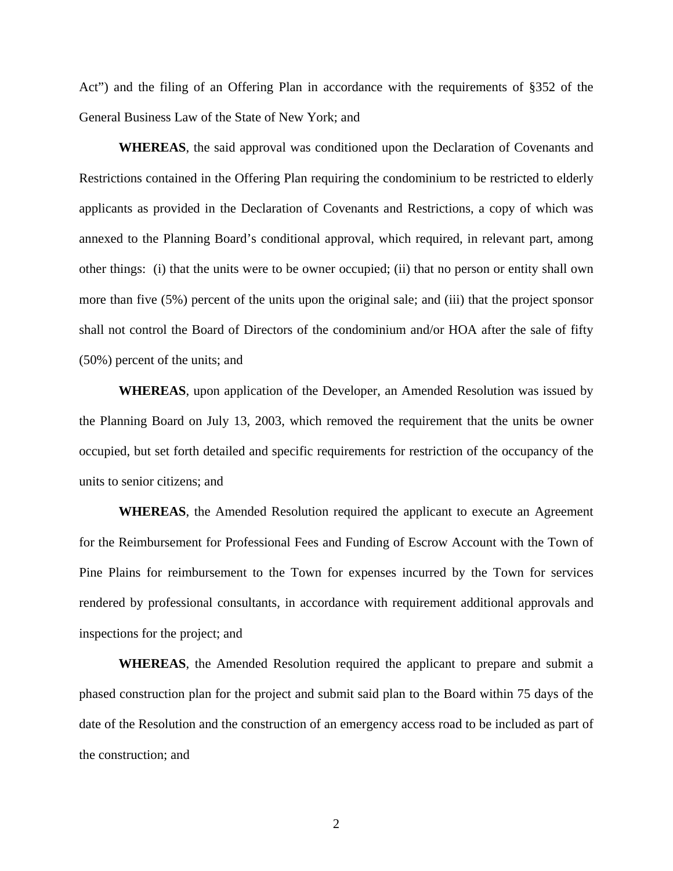Act") and the filing of an Offering Plan in accordance with the requirements of §352 of the General Business Law of the State of New York; and

**WHEREAS**, the said approval was conditioned upon the Declaration of Covenants and Restrictions contained in the Offering Plan requiring the condominium to be restricted to elderly applicants as provided in the Declaration of Covenants and Restrictions, a copy of which was annexed to the Planning Board's conditional approval, which required, in relevant part, among other things: (i) that the units were to be owner occupied; (ii) that no person or entity shall own more than five (5%) percent of the units upon the original sale; and (iii) that the project sponsor shall not control the Board of Directors of the condominium and/or HOA after the sale of fifty (50%) percent of the units; and

**WHEREAS**, upon application of the Developer, an Amended Resolution was issued by the Planning Board on July 13, 2003, which removed the requirement that the units be owner occupied, but set forth detailed and specific requirements for restriction of the occupancy of the units to senior citizens; and

**WHEREAS**, the Amended Resolution required the applicant to execute an Agreement for the Reimbursement for Professional Fees and Funding of Escrow Account with the Town of Pine Plains for reimbursement to the Town for expenses incurred by the Town for services rendered by professional consultants, in accordance with requirement additional approvals and inspections for the project; and

**WHEREAS**, the Amended Resolution required the applicant to prepare and submit a phased construction plan for the project and submit said plan to the Board within 75 days of the date of the Resolution and the construction of an emergency access road to be included as part of the construction; and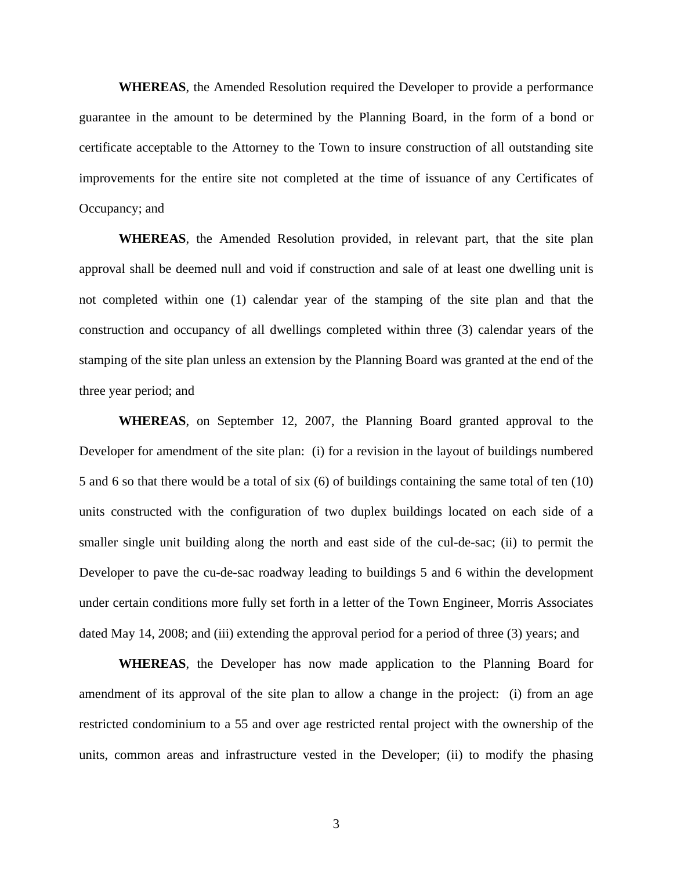**WHEREAS**, the Amended Resolution required the Developer to provide a performance guarantee in the amount to be determined by the Planning Board, in the form of a bond or certificate acceptable to the Attorney to the Town to insure construction of all outstanding site improvements for the entire site not completed at the time of issuance of any Certificates of Occupancy; and

**WHEREAS**, the Amended Resolution provided, in relevant part, that the site plan approval shall be deemed null and void if construction and sale of at least one dwelling unit is not completed within one (1) calendar year of the stamping of the site plan and that the construction and occupancy of all dwellings completed within three (3) calendar years of the stamping of the site plan unless an extension by the Planning Board was granted at the end of the three year period; and

**WHEREAS**, on September 12, 2007, the Planning Board granted approval to the Developer for amendment of the site plan: (i) for a revision in the layout of buildings numbered 5 and 6 so that there would be a total of six (6) of buildings containing the same total of ten (10) units constructed with the configuration of two duplex buildings located on each side of a smaller single unit building along the north and east side of the cul-de-sac; (ii) to permit the Developer to pave the cu-de-sac roadway leading to buildings 5 and 6 within the development under certain conditions more fully set forth in a letter of the Town Engineer, Morris Associates dated May 14, 2008; and (iii) extending the approval period for a period of three (3) years; and

**WHEREAS**, the Developer has now made application to the Planning Board for amendment of its approval of the site plan to allow a change in the project: (i) from an age restricted condominium to a 55 and over age restricted rental project with the ownership of the units, common areas and infrastructure vested in the Developer; (ii) to modify the phasing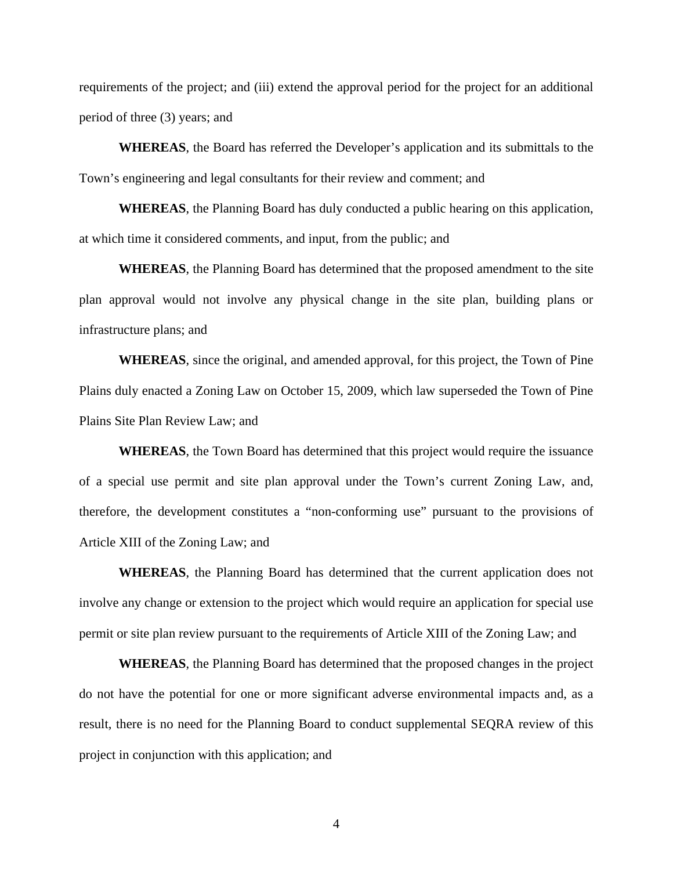requirements of the project; and (iii) extend the approval period for the project for an additional period of three (3) years; and

**WHEREAS**, the Board has referred the Developer's application and its submittals to the Town's engineering and legal consultants for their review and comment; and

**WHEREAS**, the Planning Board has duly conducted a public hearing on this application, at which time it considered comments, and input, from the public; and

**WHEREAS**, the Planning Board has determined that the proposed amendment to the site plan approval would not involve any physical change in the site plan, building plans or infrastructure plans; and

**WHEREAS**, since the original, and amended approval, for this project, the Town of Pine Plains duly enacted a Zoning Law on October 15, 2009, which law superseded the Town of Pine Plains Site Plan Review Law; and

**WHEREAS**, the Town Board has determined that this project would require the issuance of a special use permit and site plan approval under the Town's current Zoning Law, and, therefore, the development constitutes a "non-conforming use" pursuant to the provisions of Article XIII of the Zoning Law; and

**WHEREAS**, the Planning Board has determined that the current application does not involve any change or extension to the project which would require an application for special use permit or site plan review pursuant to the requirements of Article XIII of the Zoning Law; and

**WHEREAS**, the Planning Board has determined that the proposed changes in the project do not have the potential for one or more significant adverse environmental impacts and, as a result, there is no need for the Planning Board to conduct supplemental SEQRA review of this project in conjunction with this application; and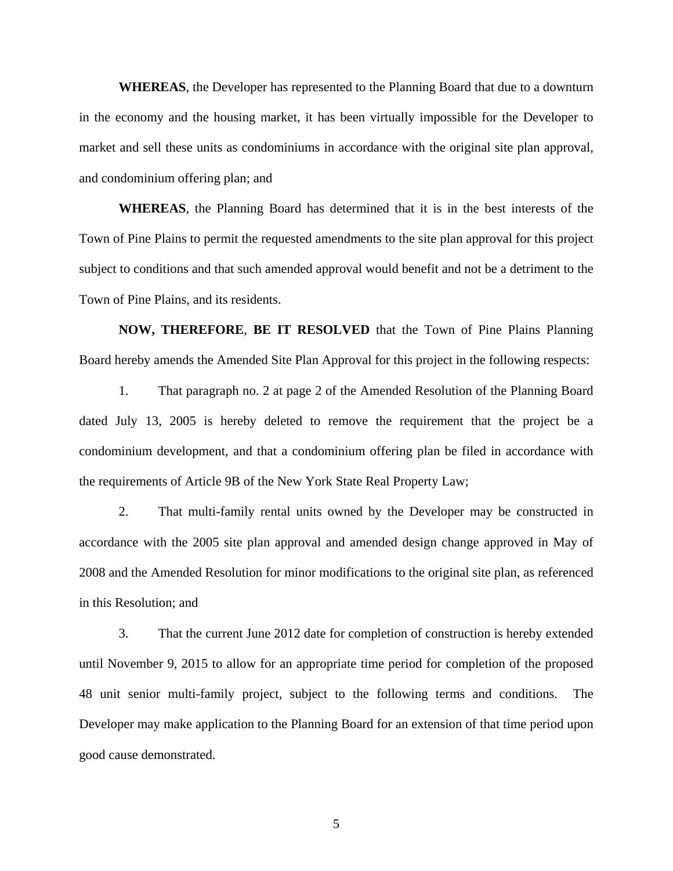**WHEREAS**, the Developer has represented to the Planning Board that due to a downturn in the economy and the housing market, it has been virtually impossible for the Developer to market and sell these units as condominiums in accordance with the original site plan approval, and condominium offering plan; and

**WHEREAS**, the Planning Board has determined that it is in the best interests of the Town of Pine Plains to permit the requested amendments to the site plan approval for this project subject to conditions and that such amended approval would benefit and not be a detriment to the Town of Pine Plains, and its residents.

**NOW, THEREFORE**, **BE IT RESOLVED** that the Town of Pine Plains Planning Board hereby amends the Amended Site Plan Approval for this project in the following respects:

1. That paragraph no. 2 at page 2 of the Amended Resolution of the Planning Board dated July 13, 2005 is hereby deleted to remove the requirement that the project be a condominium development, and that a condominium offering plan be filed in accordance with the requirements of Article 9B of the New York State Real Property Law;

2. That multi-family rental units owned by the Developer may be constructed in accordance with the 2005 site plan approval and amended design change approved in May of 2008 and the Amended Resolution for minor modifications to the original site plan, as referenced in this Resolution; and

3. That the current June 2012 date for completion of construction is hereby extended until November 9, 2015 to allow for an appropriate time period for completion of the proposed 48 unit senior multi-family project, subject to the following terms and conditions. The Developer may make application to the Planning Board for an extension of that time period upon good cause demonstrated.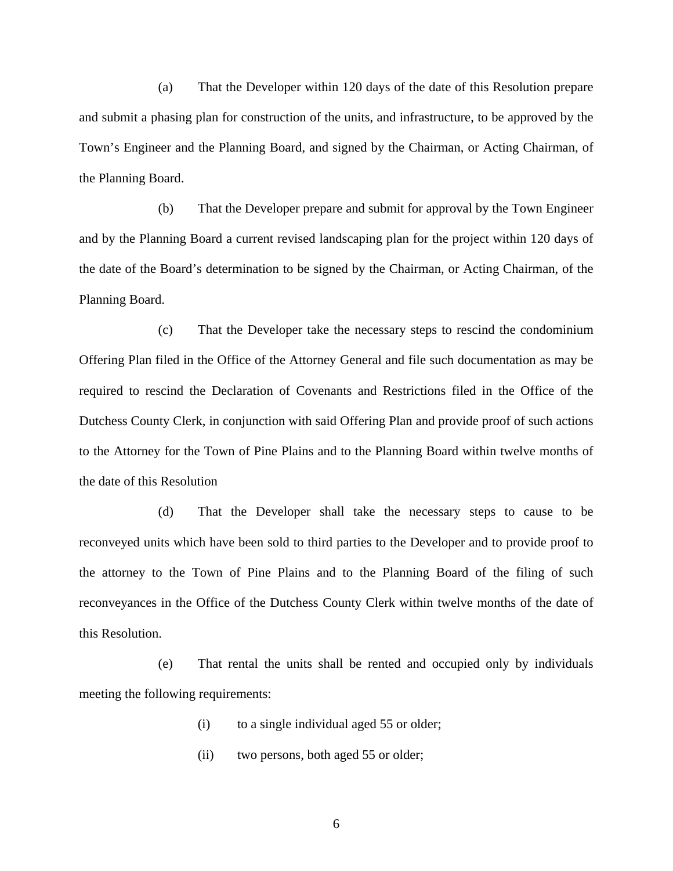(a) That the Developer within 120 days of the date of this Resolution prepare and submit a phasing plan for construction of the units, and infrastructure, to be approved by the Town's Engineer and the Planning Board, and signed by the Chairman, or Acting Chairman, of the Planning Board.

 (b) That the Developer prepare and submit for approval by the Town Engineer and by the Planning Board a current revised landscaping plan for the project within 120 days of the date of the Board's determination to be signed by the Chairman, or Acting Chairman, of the Planning Board.

 (c) That the Developer take the necessary steps to rescind the condominium Offering Plan filed in the Office of the Attorney General and file such documentation as may be required to rescind the Declaration of Covenants and Restrictions filed in the Office of the Dutchess County Clerk, in conjunction with said Offering Plan and provide proof of such actions to the Attorney for the Town of Pine Plains and to the Planning Board within twelve months of the date of this Resolution

 (d) That the Developer shall take the necessary steps to cause to be reconveyed units which have been sold to third parties to the Developer and to provide proof to the attorney to the Town of Pine Plains and to the Planning Board of the filing of such reconveyances in the Office of the Dutchess County Clerk within twelve months of the date of this Resolution.

 (e) That rental the units shall be rented and occupied only by individuals meeting the following requirements:

- (i) to a single individual aged 55 or older;
- (ii) two persons, both aged 55 or older;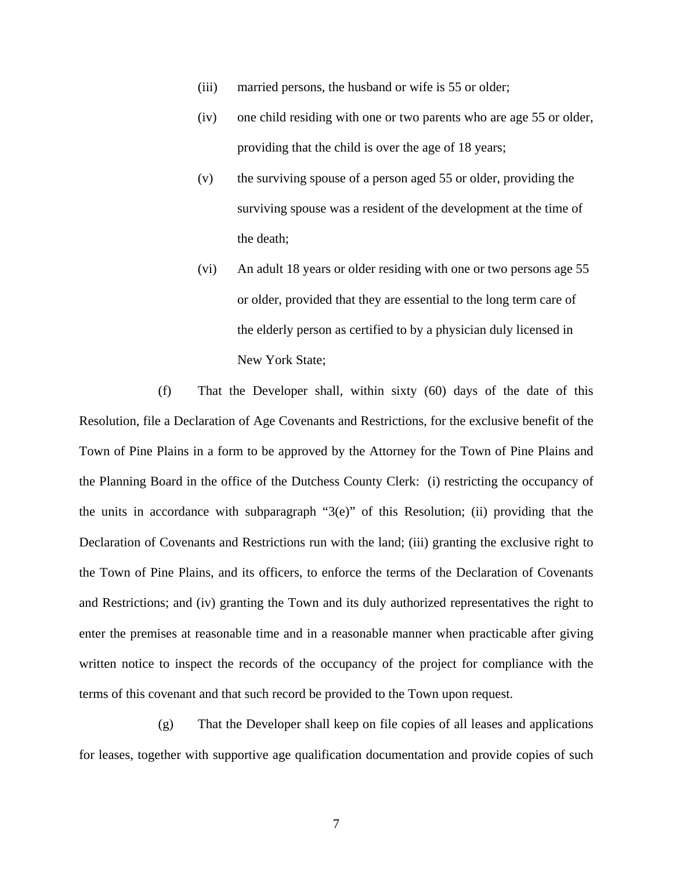- (iii) married persons, the husband or wife is 55 or older;
- (iv) one child residing with one or two parents who are age 55 or older, providing that the child is over the age of 18 years;
- (v) the surviving spouse of a person aged 55 or older, providing the surviving spouse was a resident of the development at the time of the death;
- (vi) An adult 18 years or older residing with one or two persons age 55 or older, provided that they are essential to the long term care of the elderly person as certified to by a physician duly licensed in New York State;

 (f) That the Developer shall, within sixty (60) days of the date of this Resolution, file a Declaration of Age Covenants and Restrictions, for the exclusive benefit of the Town of Pine Plains in a form to be approved by the Attorney for the Town of Pine Plains and the Planning Board in the office of the Dutchess County Clerk: (i) restricting the occupancy of the units in accordance with subparagraph "3(e)" of this Resolution; (ii) providing that the Declaration of Covenants and Restrictions run with the land; (iii) granting the exclusive right to the Town of Pine Plains, and its officers, to enforce the terms of the Declaration of Covenants and Restrictions; and (iv) granting the Town and its duly authorized representatives the right to enter the premises at reasonable time and in a reasonable manner when practicable after giving written notice to inspect the records of the occupancy of the project for compliance with the terms of this covenant and that such record be provided to the Town upon request.

 (g) That the Developer shall keep on file copies of all leases and applications for leases, together with supportive age qualification documentation and provide copies of such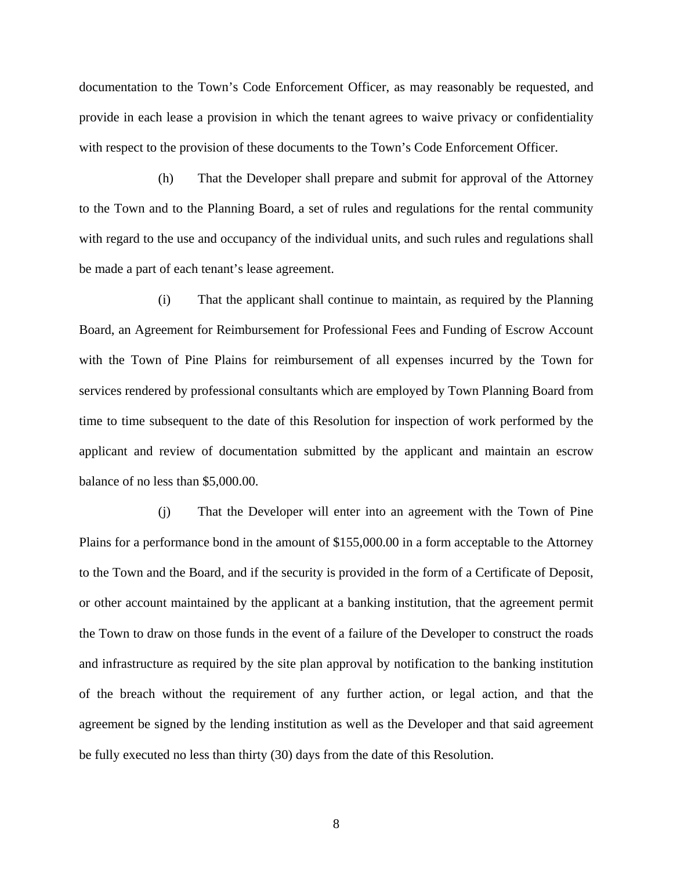documentation to the Town's Code Enforcement Officer, as may reasonably be requested, and provide in each lease a provision in which the tenant agrees to waive privacy or confidentiality with respect to the provision of these documents to the Town's Code Enforcement Officer.

 (h) That the Developer shall prepare and submit for approval of the Attorney to the Town and to the Planning Board, a set of rules and regulations for the rental community with regard to the use and occupancy of the individual units, and such rules and regulations shall be made a part of each tenant's lease agreement.

 (i) That the applicant shall continue to maintain, as required by the Planning Board, an Agreement for Reimbursement for Professional Fees and Funding of Escrow Account with the Town of Pine Plains for reimbursement of all expenses incurred by the Town for services rendered by professional consultants which are employed by Town Planning Board from time to time subsequent to the date of this Resolution for inspection of work performed by the applicant and review of documentation submitted by the applicant and maintain an escrow balance of no less than \$5,000.00.

 (j) That the Developer will enter into an agreement with the Town of Pine Plains for a performance bond in the amount of \$155,000.00 in a form acceptable to the Attorney to the Town and the Board, and if the security is provided in the form of a Certificate of Deposit, or other account maintained by the applicant at a banking institution, that the agreement permit the Town to draw on those funds in the event of a failure of the Developer to construct the roads and infrastructure as required by the site plan approval by notification to the banking institution of the breach without the requirement of any further action, or legal action, and that the agreement be signed by the lending institution as well as the Developer and that said agreement be fully executed no less than thirty (30) days from the date of this Resolution.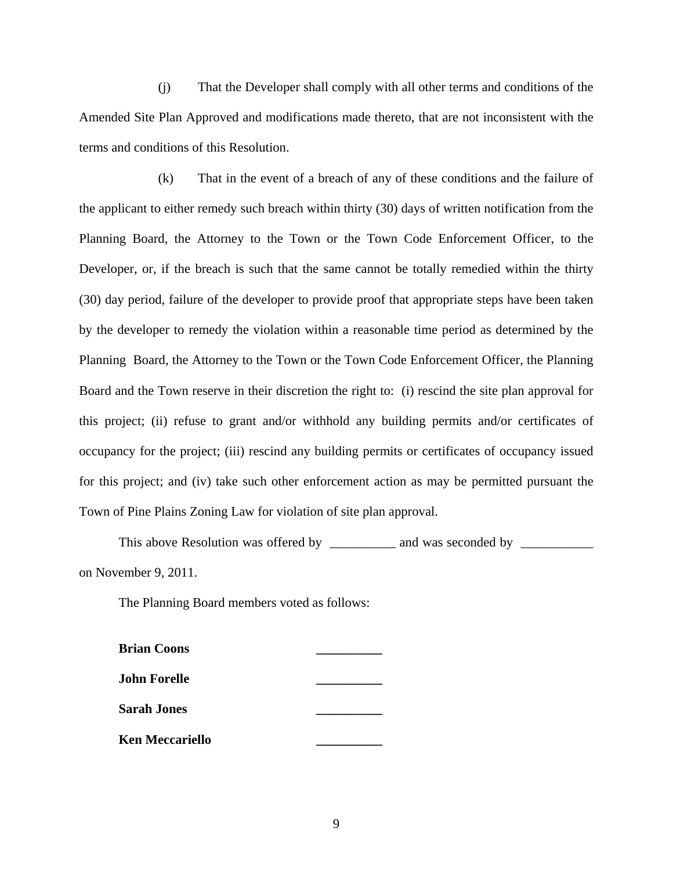(j) That the Developer shall comply with all other terms and conditions of the Amended Site Plan Approved and modifications made thereto, that are not inconsistent with the terms and conditions of this Resolution.

 (k) That in the event of a breach of any of these conditions and the failure of the applicant to either remedy such breach within thirty (30) days of written notification from the Planning Board, the Attorney to the Town or the Town Code Enforcement Officer, to the Developer, or, if the breach is such that the same cannot be totally remedied within the thirty (30) day period, failure of the developer to provide proof that appropriate steps have been taken by the developer to remedy the violation within a reasonable time period as determined by the Planning Board, the Attorney to the Town or the Town Code Enforcement Officer, the Planning Board and the Town reserve in their discretion the right to: (i) rescind the site plan approval for this project; (ii) refuse to grant and/or withhold any building permits and/or certificates of occupancy for the project; (iii) rescind any building permits or certificates of occupancy issued for this project; and (iv) take such other enforcement action as may be permitted pursuant the Town of Pine Plains Zoning Law for violation of site plan approval.

This above Resolution was offered by \_\_\_\_\_\_\_\_\_ and was seconded by \_\_\_\_\_\_\_\_\_\_\_\_\_ on November 9, 2011.

The Planning Board members voted as follows:

| <b>Brian Coons</b>     |  |
|------------------------|--|
| <b>John Forelle</b>    |  |
| <b>Sarah Jones</b>     |  |
| <b>Ken Meccariello</b> |  |